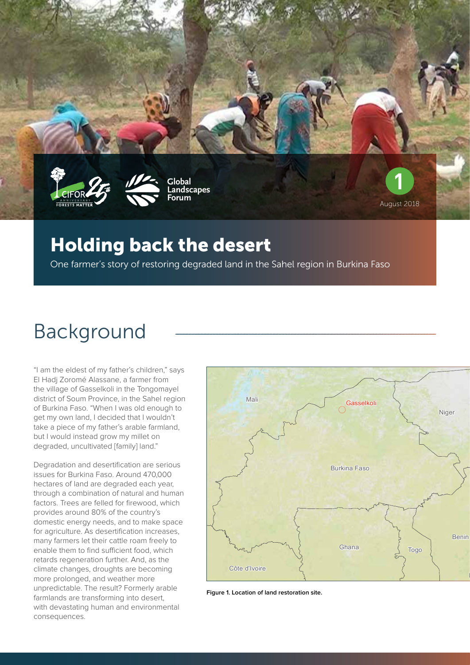





**Global Landscapes Forum**



**1**

#### Holding back the desert

One farmer's story of restoring degraded land in the Sahel region in Burkina Faso

# Background

"I am the eldest of my father's children," says El Hadj Zoromé Alassane, a farmer from the village of Gasselkoli in the Tongomayel district of Soum Province, in the Sahel region of Burkina Faso. "When I was old enough to get my own land, I decided that I wouldn't take a piece of my father's arable farmland, but I would instead grow my millet on degraded, uncultivated [family] land."

Degradation and desertification are serious issues for Burkina Faso. Around 470,000 hectares of land are degraded each year, through a combination of natural and human factors. Trees are felled for firewood, which provides around 80% of the country's domestic energy needs, and to make space for agriculture. As desertification increases, many farmers let their cattle roam freely to enable them to find sufficient food, which retards regeneration further. And, as the climate changes, droughts are becoming more prolonged, and weather more unpredictable. The result? Formerly arable farmlands are transforming into desert, with devastating human and environmental consequences.



**Figure 1. Location of land restoration site.**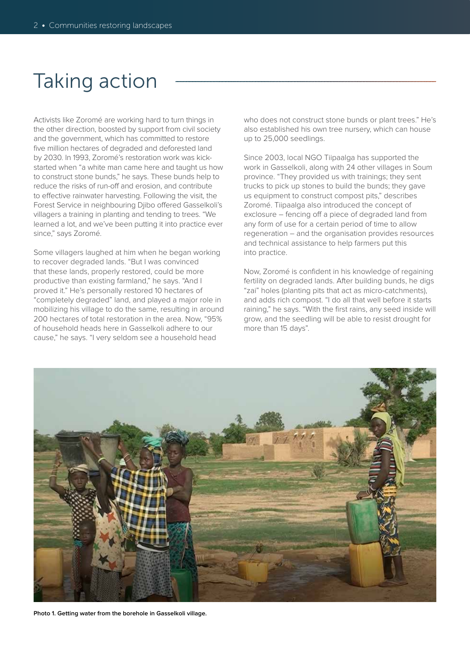## Taking action

Activists like Zoromé are working hard to turn things in the other direction, boosted by support from civil society and the government, which has committed to restore five million hectares of degraded and deforested land by 2030. In 1993, Zoromé's restoration work was kickstarted when "a white man came here and taught us how to construct stone bunds," he says. These bunds help to reduce the risks of run-off and erosion, and contribute to effective rainwater harvesting. Following the visit, the Forest Service in neighbouring Djibo offered Gasselkoli's villagers a training in planting and tending to trees. "We learned a lot, and we've been putting it into practice ever since," says Zoromé.

Some villagers laughed at him when he began working to recover degraded lands. "But I was convinced that these lands, properly restored, could be more productive than existing farmland," he says. "And I proved it." He's personally restored 10 hectares of "completely degraded" land, and played a major role in mobilizing his village to do the same, resulting in around 200 hectares of total restoration in the area. Now, "95% of household heads here in Gasselkoli adhere to our cause," he says. "I very seldom see a household head

who does not construct stone bunds or plant trees." He's also established his own tree nursery, which can house up to 25,000 seedlings.

Since 2003, local NGO Tiipaalga has supported the work in Gasselkoli, along with 24 other villages in Soum province. "They provided us with trainings; they sent trucks to pick up stones to build the bunds; they gave us equipment to construct compost pits," describes Zoromé. Tiipaalga also introduced the concept of exclosure – fencing off a piece of degraded land from any form of use for a certain period of time to allow regeneration – and the organisation provides resources and technical assistance to help farmers put this into practice.

Now, Zoromé is confident in his knowledge of regaining fertility on degraded lands. After building bunds, he digs "zai" holes (planting pits that act as micro-catchments), and adds rich compost. "I do all that well before it starts raining," he says. "With the first rains, any seed inside will grow, and the seedling will be able to resist drought for more than 15 days".



**Photo 1. Getting water from the borehole in Gasselkoli village.**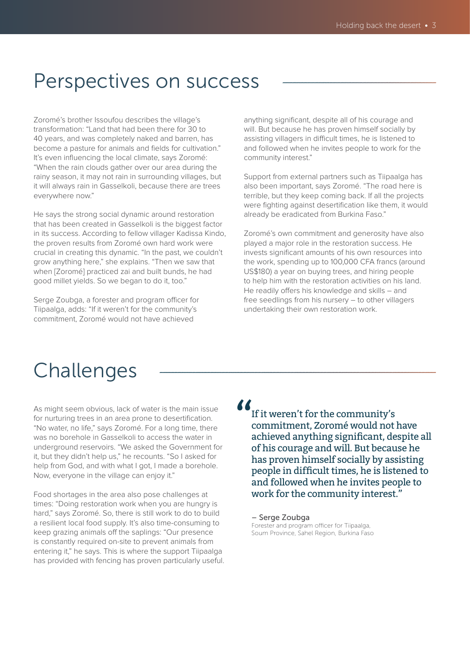### Perspectives on success

Zoromé's brother Issoufou describes the village's transformation: "Land that had been there for 30 to 40 years, and was completely naked and barren, has become a pasture for animals and fields for cultivation." It's even influencing the local climate, says Zoromé: "When the rain clouds gather over our area during the rainy season, it may not rain in surrounding villages, but it will always rain in Gasselkoli, because there are trees everywhere now."

He says the strong social dynamic around restoration that has been created in Gasselkoli is the biggest factor in its success. According to fellow villager Kadissa Kindo, the proven results from Zoromé own hard work were crucial in creating this dynamic. "In the past, we couldn't grow anything here," she explains. "Then we saw that when [Zoromé] practiced zai and built bunds, he had good millet yields. So we began to do it, too."

Serge Zoubga, a forester and program officer for Tiipaalga, adds: "If it weren't for the community's commitment, Zoromé would not have achieved

anything significant, despite all of his courage and will. But because he has proven himself socially by assisting villagers in difficult times, he is listened to and followed when he invites people to work for the community interest."

Support from external partners such as Tiipaalga has also been important, says Zoromé. "The road here is terrible, but they keep coming back. If all the projects were fighting against desertification like them, it would already be eradicated from Burkina Faso."

Zoromé's own commitment and generosity have also played a major role in the restoration success. He invests significant amounts of his own resources into the work, spending up to 100,000 CFA francs (around US\$180) a year on buying trees, and hiring people to help him with the restoration activities on his land. He readily offers his knowledge and skills – and free seedlings from his nursery – to other villagers undertaking their own restoration work.

## Challenges

As might seem obvious, lack of water is the main issue for nurturing trees in an area prone to desertification. "No water, no life," says Zoromé. For a long time, there was no borehole in Gasselkoli to access the water in underground reservoirs. "We asked the Government for it, but they didn't help us," he recounts. "So I asked for help from God, and with what I got, I made a borehole. Now, everyone in the village can enjoy it."

Food shortages in the area also pose challenges at times: "Doing restoration work when you are hungry is hard," says Zoromé. So, there is still work to do to build a resilient local food supply. It's also time-consuming to keep grazing animals off the saplings: "Our presence is constantly required on-site to prevent animals from entering it," he says. This is where the support Tiipaalga has provided with fencing has proven particularly useful.  $\frac{\delta}{\delta}$ 

If it weren't for the community's commitment, Zoromé would not have achieved anything significant, despite all of his courage and will. But because he has proven himself socially by assisting people in difficult times, he is listened to and followed when he invites people to work for the community interest."

– Serge Zoubga Forester and program officer for Tiipaalga, Soum Province, Sahel Region, Burkina Faso